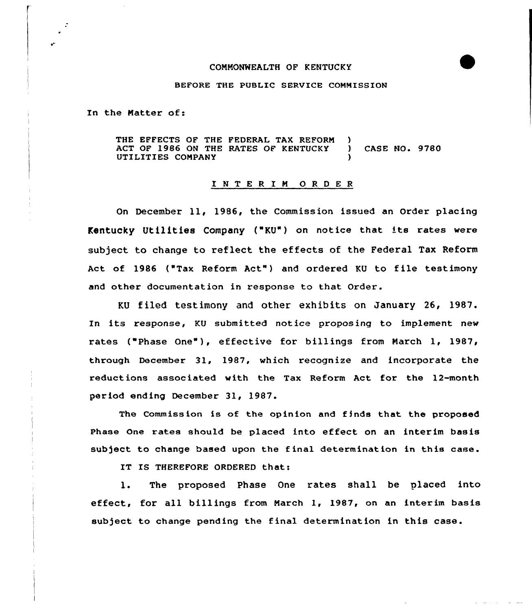## CONNONWEALTH OF KENTUCKY



## BEFORE THE PUBLIC SERVICE COMMISSION

In the Natter of:

THE EFFECTS OF THE FEDERAL TAX REFORM ACT OF 1986 ON THE RATES OF KENTUCKY UTILITIES COMPANY ) ) CASE NO. 9780 )

## I <sup>N</sup> T <sup>E</sup> <sup>R</sup> I <sup>N</sup> 0 <sup>R</sup> <sup>D</sup> <sup>E</sup> <sup>R</sup>

On December 11, 1986, the Commission issued an Order placing Kentucky Utilities Company ("KU") on notice that its rates were subject to change to reflect the effects of the Federal Tax Reform Act of 1986 ("Tax Reform Act") and ordered KU to file testimony and other documentation in response to that Order.

KU filed testimony and other exhibits on January 26, 1987. In its response, KU submitted notice proposing to implement new rates ("Phase One"), effective for billings from March 1, 1987, through December 31, 1987, which recognize and incorporate the reductions associated with the Tax Reform Act for the 12-month period ending December 31, 1987.

The Commission is of the opinion and finds that the proposed phase one rates should be placed into effeet on an interim basis subject to change based upon the f inal determination in this case.

IT IS THEREFORE ORDERED that:

 $\mathbf{1}$ . The proposed Phase One rates shall be placed into effect, for all billings from Narch 1, 1987, on an interim basis subject to change pending the final determination in this case.